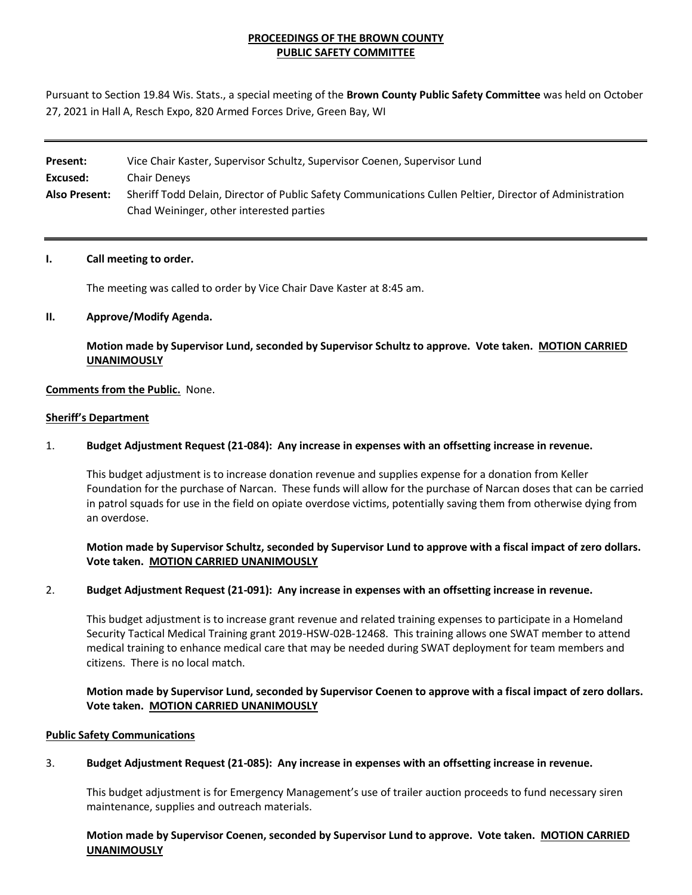## **PROCEEDINGS OF THE BROWN COUNTY PUBLIC SAFETY COMMITTEE**

Pursuant to Section 19.84 Wis. Stats., a special meeting of the **Brown County Public Safety Committee** was held on October 27, 2021 in Hall A, Resch Expo, 820 Armed Forces Drive, Green Bay, WI

| Present:             | Vice Chair Kaster, Supervisor Schultz, Supervisor Coenen, Supervisor Lund                                |
|----------------------|----------------------------------------------------------------------------------------------------------|
| Excused:             | Chair Deneys                                                                                             |
| <b>Also Present:</b> | Sheriff Todd Delain, Director of Public Safety Communications Cullen Peltier, Director of Administration |
|                      | Chad Weininger, other interested parties                                                                 |

### **I. Call meeting to order.**

The meeting was called to order by Vice Chair Dave Kaster at 8:45 am.

### **II. Approve/Modify Agenda.**

**Motion made by Supervisor Lund, seconded by Supervisor Schultz to approve. Vote taken. MOTION CARRIED UNANIMOUSLY**

### **Comments from the Public.** None.

#### **Sheriff's Department**

### 1. **Budget Adjustment Request (21-084): Any increase in expenses with an offsetting increase in revenue.**

This budget adjustment is to increase donation revenue and supplies expense for a donation from Keller Foundation for the purchase of Narcan. These funds will allow for the purchase of Narcan doses that can be carried in patrol squads for use in the field on opiate overdose victims, potentially saving them from otherwise dying from an overdose.

### **Motion made by Supervisor Schultz, seconded by Supervisor Lund to approve with a fiscal impact of zero dollars. Vote taken. MOTION CARRIED UNANIMOUSLY**

### 2. **Budget Adjustment Request (21-091): Any increase in expenses with an offsetting increase in revenue.**

This budget adjustment is to increase grant revenue and related training expenses to participate in a Homeland Security Tactical Medical Training grant 2019-HSW-02B-12468. This training allows one SWAT member to attend medical training to enhance medical care that may be needed during SWAT deployment for team members and citizens. There is no local match.

### **Motion made by Supervisor Lund, seconded by Supervisor Coenen to approve with a fiscal impact of zero dollars. Vote taken. MOTION CARRIED UNANIMOUSLY**

### **Public Safety Communications**

### 3. **Budget Adjustment Request (21-085): Any increase in expenses with an offsetting increase in revenue.**

This budget adjustment is for Emergency Management's use of trailer auction proceeds to fund necessary siren maintenance, supplies and outreach materials.

**Motion made by Supervisor Coenen, seconded by Supervisor Lund to approve. Vote taken. MOTION CARRIED UNANIMOUSLY**